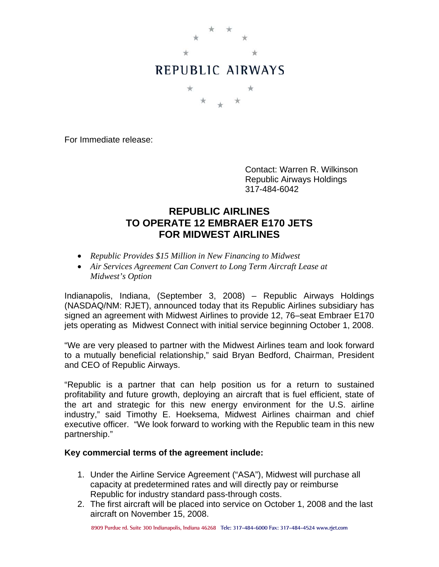

For Immediate release:

 Contact: Warren R. Wilkinson Republic Airways Holdings 317-484-6042

## **REPUBLIC AIRLINES TO OPERATE 12 EMBRAER E170 JETS FOR MIDWEST AIRLINES**

- *Republic Provides \$15 Million in New Financing to Midwest*
- *Air Services Agreement Can Convert to Long Term Aircraft Lease at Midwest's Option*

Indianapolis, Indiana, (September 3, 2008) – Republic Airways Holdings (NASDAQ/NM: RJET), announced today that its Republic Airlines subsidiary has signed an agreement with Midwest Airlines to provide 12, 76–seat Embraer E170 jets operating as Midwest Connect with initial service beginning October 1, 2008.

"We are very pleased to partner with the Midwest Airlines team and look forward to a mutually beneficial relationship," said Bryan Bedford, Chairman, President and CEO of Republic Airways.

"Republic is a partner that can help position us for a return to sustained profitability and future growth, deploying an aircraft that is fuel efficient, state of the art and strategic for this new energy environment for the U.S. airline industry," said Timothy E. Hoeksema, Midwest Airlines chairman and chief executive officer. "We look forward to working with the Republic team in this new partnership."

## **Key commercial terms of the agreement include:**

- 1. Under the Airline Service Agreement ("ASA"), Midwest will purchase all capacity at predetermined rates and will directly pay or reimburse Republic for industry standard pass-through costs.
- 2. The first aircraft will be placed into service on October 1, 2008 and the last aircraft on November 15, 2008.